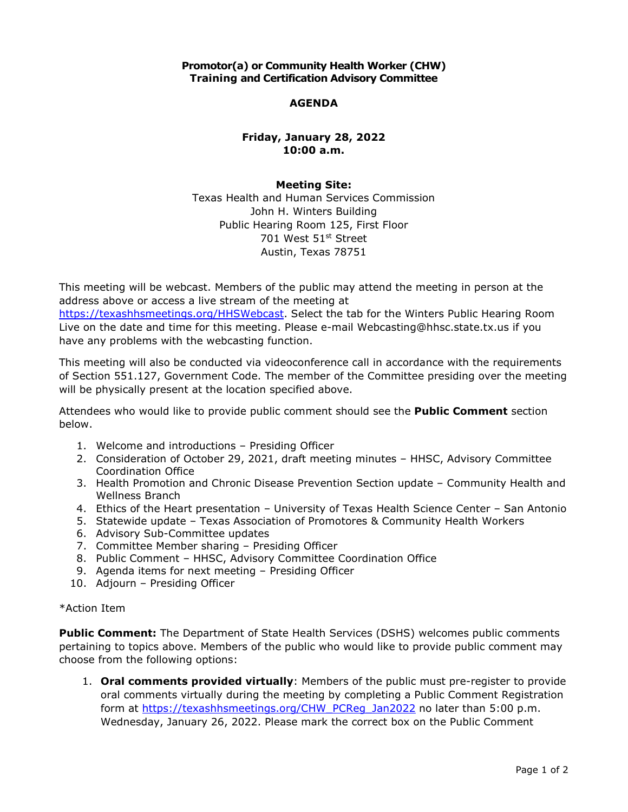## **Promotor(a) or Community Health Worker (CHW) Training and Certification Advisory Committee**

### **AGENDA**

# **Friday, January 28, 2022 10:00 a.m.**

#### **Meeting Site:**

 Texas Health and Human Services Commission John H. Winters Building Public Hearing Room 125, First Floor 701 West 51st Street Austin, Texas 78751

 This meeting will be webcast. Members of the public may attend the meeting in person at the address above or access a live stream of the meeting at

[https://texashhsmeetings.org/HHSWebcast.](https://texashhsmeetings.org/HHSWebcast) Select the tab for the Winters Public Hearing Room Live on the date and time for this meeting. Please e-mail [Webcasting@hhsc.state.tx.us](mailto:Webcasting@hhsc.state.tx.us) if you have any problems with the webcasting function.

 This meeting will also be conducted via videoconference call in accordance with the requirements of Section 551.127, Government Code. The member of the Committee presiding over the meeting will be physically present at the location specified above.

 Attendees who would like to provide public comment should see the **Public Comment** section below.

- 1. Welcome and introductions Presiding Officer
- 2. Consideration of October 29, 2021, draft meeting minutes HHSC, Advisory Committee Coordination Office
- 3. Health Promotion and Chronic Disease Prevention Section update Community Health and Wellness Branch
- 4. Ethics of the Heart presentation University of Texas Health Science Center San Antonio
- 5. Statewide update Texas Association of Promotores & Community Health Workers
- 6. Advisory Sub-Committee updates
- 7. Committee Member sharing Presiding Officer
- 7. Committee Member sharing Presiding Officer<br>8. Public Comment HHSC, Advisory Committee Coordination Office
- 9. Agenda items for next meeting Presiding Officer
- 10. Adjourn Presiding Officer

#### \*Action Item

 **Public Comment:** The Department of State Health Services (DSHS) welcomes public comments pertaining to topics above. Members of the public who would like to provide public comment may choose from the following options:

 1. **Oral comments provided virtually**: Members of the public must pre-register to provide oral comments virtually during the meeting by completing a Public Comment Registration form at [https://texashhsmeetings.org/CHW\\_PCReg\\_Jan2022](https://texashhsmeetings.org/CHW_PCReg_Jan2022) no later than 5:00 p.m. Wednesday, January 26, 2022. Please mark the correct box on the Public Comment